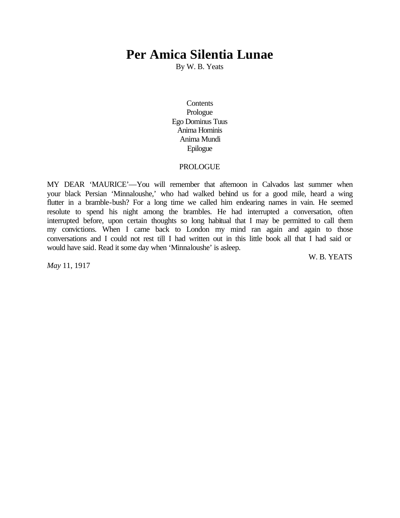# **Per Amica Silentia Lunae**

By W. B. Yeats

**Contents** Prologue Ego Dominus Tuus Anima Hominis Anima Mundi Epilogue

# PROLOGUE

MY DEAR 'MAURICE'—You will remember that afternoon in Calvados last summer when your black Persian 'Minnaloushe,' who had walked behind us for a good mile, heard a wing flutter in a bramble-bush? For a long time we called him endearing names in vain. He seemed resolute to spend his night among the brambles. He had interrupted a conversation, often interrupted before, upon certain thoughts so long habitual that I may be permitted to call them my convictions. When I came back to London my mind ran again and again to those conversations and I could not rest till I had written out in this little book all that I had said or would have said. Read it some day when 'Minnaloushe' is asleep.

W. B. YEATS

*May* 11, 1917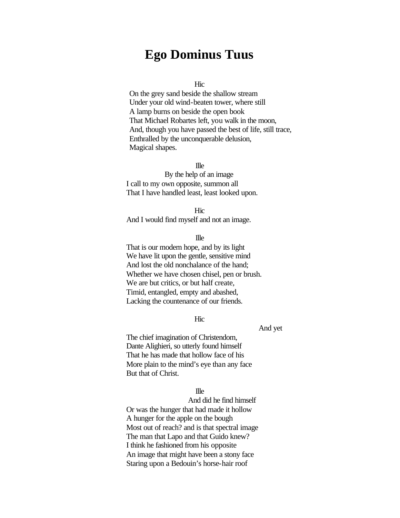# **Ego Dominus Tuus**

**Hic** 

On the grey sand beside the shallow stream Under your old wind-beaten tower, where still A lamp burns on beside the open book That Michael Robartes left, you walk in the moon, And, though you have passed the best of life, still trace, Enthralled by the unconquerable delusion, Magical shapes.

Ille

By the help of an image I call to my own opposite, summon all That I have handled least, least looked upon.

Hic

And I would find myself and not an image.

Ille

That is our modern hope, and by its light We have lit upon the gentle, sensitive mind And lost the old nonchalance of the hand; Whether we have chosen chisel, pen or brush. We are but critics, or but half create, Timid, entangled, empty and abashed, Lacking the countenance of our friends.

**Hic** 

And yet

The chief imagination of Christendom, Dante Alighieri, so utterly found himself That he has made that hollow face of his More plain to the mind's eye than any face But that of Christ.

#### Ille

And did he find himself Or was the hunger that had made it hollow A hunger for the apple on the bough Most out of reach? and is that spectral image The man that Lapo and that Guido knew? I think he fashioned from his opposite An image that might have been a stony face Staring upon a Bedouin's horse-hair roof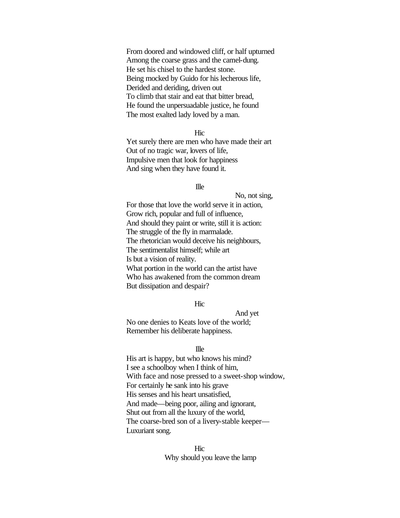From doored and windowed cliff, or half upturned Among the coarse grass and the camel-dung. He set his chisel to the hardest stone. Being mocked by Guido for his lecherous life, Derided and deriding, driven out To climb that stair and eat that bitter bread, He found the unpersuadable justice, he found The most exalted lady loved by a man.

**Hic** 

Yet surely there are men who have made their art Out of no tragic war, lovers of life, Impulsive men that look for happiness And sing when they have found it.

# Ille

No, not sing, For those that love the world serve it in action, Grow rich, popular and full of influence, And should they paint or write, still it is action: The struggle of the fly in marmalade. The rhetorician would deceive his neighbours, The sentimentalist himself; while art Is but a vision of reality. What portion in the world can the artist have Who has awakened from the common dream But dissipation and despair?

#### **Hic**

# And yet

No one denies to Keats love of the world; Remember his deliberate happiness.

#### Ille

His art is happy, but who knows his mind? I see a schoolboy when I think of him, With face and nose pressed to a sweet-shop window, For certainly he sank into his grave His senses and his heart unsatisfied, And made—being poor, ailing and ignorant, Shut out from all the luxury of the world, The coarse-bred son of a livery-stable keeper— Luxuriant song.

# **Hic** Why should you leave the lamp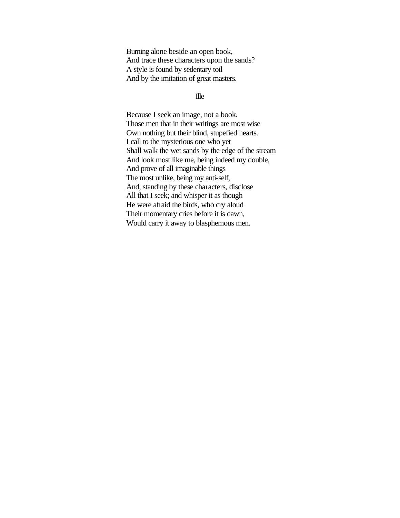Burning alone beside an open book, And trace these characters upon the sands? A style is found by sedentary toil And by the imitation of great masters.

#### Ille

Because I seek an image, not a book. Those men that in their writings are most wise Own nothing but their blind, stupefied hearts. I call to the mysterious one who yet Shall walk the wet sands by the edge of the stream And look most like me, being indeed my double, And prove of all imaginable things The most unlike, being my anti-self, And, standing by these characters, disclose All that I seek; and whisper it as though He were afraid the birds, who cry aloud Their momentary cries before it is dawn, Would carry it away to blasphemous men.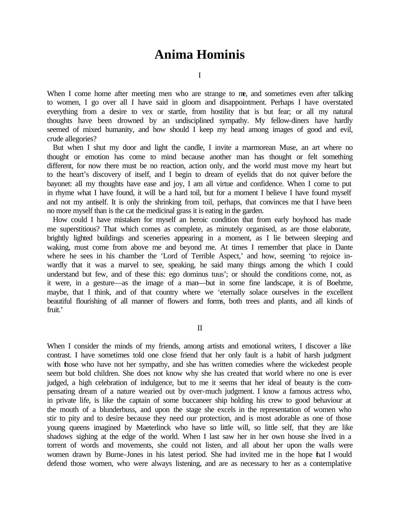# **Anima Hominis**

I

When I come home after meeting men who are strange to me, and sometimes even after talking to women, I go over all I have said in gloom and disappointment. Perhaps I have overstated everything from a desire to vex or startle, from hostility that is but fear; or all my natural thoughts have been drowned by an undisciplined sympathy. My fellow-diners have hardly seemed of mixed humanity, and how should I keep my head among images of good and evil, crude allegories?

But when I shut my door and light the candle, I invite a marmorean Muse, an art where no thought or emotion has come to mind because another man has thought or felt something different, for now there must be no reaction, action only, and the world must move my heart but to the heart's discovery of itself, and I begin to dream of eyelids that do not quiver before the bayonet: all my thoughts have ease and joy, I am all virtue and confidence. When I come to put in rhyme what I have found, it will be a hard toil, but for a moment I believe I have found myself and not my antiself. It is only the shrinking from toil, perhaps, that convinces me that I have been no more myself than is the cat the medicinal grass it is eating in the garden.

How could I have mistaken for myself an heroic condition that from early boyhood has made me superstitious? That which comes as complete, as minutely organised, as are those elaborate, brightly lighted buildings and sceneries appearing in a moment, as I lie between sleeping and waking, must come from above me and beyond me. At times I remember that place in Dante where he sees in his chamber the 'Lord of Terrible Aspect,' and how, seeming 'to rejoice inwardly that it was a marvel to see, speaking, he said many things among the which I could understand but few, and of these this: ego dominus tuus'; or should the conditions come, not, as it were, in a gesture—as the image of a man—but in some fine landscape, it is of Boehme, maybe, that I think, and of that country where we 'eternally solace ourselves in the excellent beautiful flourishing of all manner of flowers and forms, both trees and plants, and all kinds of fruit.'

II

When I consider the minds of my friends, among artists and emotional writers, I discover a like contrast. I have sometimes told one close friend that her only fault is a habit of harsh judgment with those who have not her sympathy, and she has written comedies where the wickedest people seem but bold children. She does not know why she has created that world where no one is ever judged, a high celebration of indulgence, but to me it seems that her ideal of beauty is the compensating dream of a nature wearied out by over-much judgment. I know a famous actress who, in private life, is like the captain of some buccaneer ship holding his crew to good behaviour at the mouth of a blunderbuss, and upon the stage she excels in the representation of women who stir to pity and to desire because they need our protection, and is most adorable as one of those young queens imagined by Maeterlinck who have so little will, so little self, that they are like shadows sighing at the edge of the world. When I last saw her in her own house she lived in a torrent of words and movements, she could not listen, and all about her upon the walls were women drawn by Burne-Jones in his latest period. She had invited me in the hope that I would defend those women, who were always listening, and are as necessary to her as a contemplative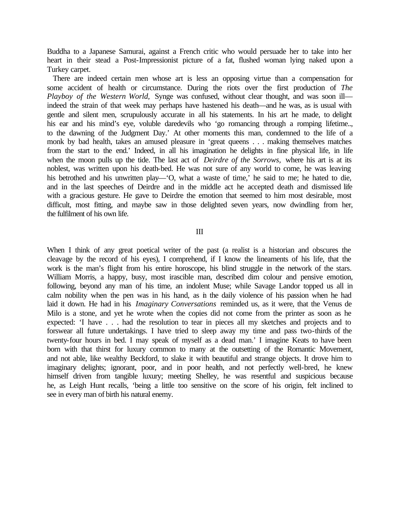Buddha to a Japanese Samurai, against a French critic who would persuade her to take into her heart in their stead a Post-Impressionist picture of a fat, flushed woman lying naked upon a Turkey carpet.

There are indeed certain men whose art is less an opposing virtue than a compensation for some accident of health or circumstance. During the riots over the first production of *The Playboy of the Western World,* Synge was confused, without clear thought, and was soon ill indeed the strain of that week may perhaps have hastened his death—and he was, as is usual with gentle and silent men, scrupulously accurate in all his statements. In his art he made, to delight his ear and his mind's eye, voluble daredevils who 'go romancing through a romping lifetime.., to the dawning of the Judgment Day.' At other moments this man, condemned to the life of a monk by bad health, takes an amused pleasure in 'great queens . . . making themselves matches from the start to the end.' Indeed, in all his imagination he delights in fine physical life, in life when the moon pulls up the tide. The last act of *Deirdre of the Sorrows*, where his art is at its noblest, was written upon his death-bed. He was not sure of any world to come, he was leaving his betrothed and his unwritten play—'O, what a waste of time,' he said to me; he hated to die, and in the last speeches of Deirdre and in the middle act he accepted death and dismissed life with a gracious gesture. He gave to Deirdre the emotion that seemed to him most desirable, most difficult, most fitting, and maybe saw in those delighted seven years, now dwindling from her, the fulfilment of his own life.

#### III

When I think of any great poetical writer of the past (a realist is a historian and obscures the cleavage by the record of his eyes), I comprehend, if I know the lineaments of his life, that the work is the man's flight from his entire horoscope, his blind struggle in the network of the stars. William Morris, a happy, busy, most irascible man, described dim colour and pensive emotion, following, beyond any man of his time, an indolent Muse; while Savage Landor topped us all in calm nobility when the pen was in his hand, as in the daily violence of his passion when he had laid it down. He had in his *Imaginary Conversations* reminded us, as it were, that the Venus de Milo is a stone, and yet he wrote when the copies did not come from the printer as soon as he expected: 'I have . . . had the resolution to tear in pieces all my sketches and projects and to forswear all future undertakings. I have tried to sleep away my time and pass two-thirds of the twenty-four hours in bed. I may speak of myself as a dead man.' I imagine Keats to have been born with that thirst for luxury common to many at the outsetting of the Romantic Movement, and not able, like wealthy Beckford, to slake it with beautiful and strange objects. It drove him to imaginary delights; ignorant, poor, and in poor health, and not perfectly well-bred, he knew himself driven from tangible luxury; meeting Shelley, he was resentful and suspicious because he, as Leigh Hunt recalls, 'being a little too sensitive on the score of his origin, felt inclined to see in every man of birth his natural enemy.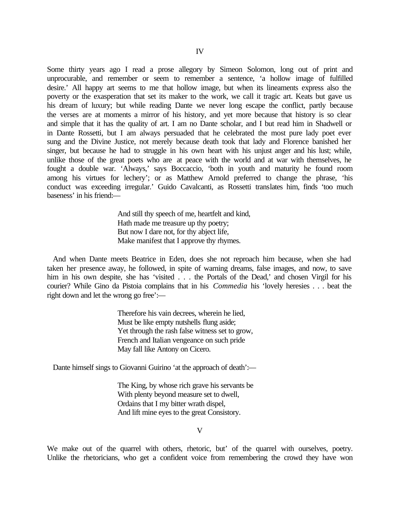Some thirty years ago I read a prose allegory by Simeon Solomon, long out of print and unprocurable, and remember or seem to remember a sentence, 'a hollow image of fulfilled desire.' All happy art seems to me that hollow image, but when its lineaments express also the poverty or the exasperation that set its maker to the work, we call it tragic art. Keats but gave us his dream of luxury; but while reading Dante we never long escape the conflict, partly because the verses are at moments a mirror of his history, and yet more because that history is so clear and simple that it has the quality of art. I am no Dante scholar, and I but read him in Shadwell or in Dante Rossetti, but I am always persuaded that he celebrated the most pure lady poet ever sung and the Divine Justice, not merely because death took that lady and Florence banished her singer, but because he had to struggle in his own heart with his unjust anger and his lust; while, unlike those of the great poets who are at peace with the world and at war with themselves, he fought a double war. 'Always,' says Boccaccio, 'both in youth and maturity he found room among his virtues for lechery'; or as Matthew Arnold preferred to change the phrase, 'his conduct was exceeding irregular.' Guido Cavalcanti, as Rossetti translates him, finds 'too much baseness' in his friend:—

> And still thy speech of me, heartfelt and kind, Hath made me treasure up thy poetry; But now I dare not, for thy abject life, Make manifest that I approve thy rhymes.

And when Dante meets Beatrice in Eden, does she not reproach him because, when she had taken her presence away, he followed, in spite of warning dreams, false images, and now, to save him in his own despite, she has 'visited . . . the Portals of the Dead,' and chosen Virgil for his courier? While Gino da Pistoia complains that in his *Commedia* his 'lovely heresies . . . beat the right down and let the wrong go free':—

> Therefore his vain decrees, wherein he lied, Must be like empty nutshells flung aside; Yet through the rash false witness set to grow, French and Italian vengeance on such pride May fall like Antony on Cicero.

Dante himself sings to Giovanni Guirino 'at the approach of death':—

The King, by whose rich grave his servants be With plenty beyond measure set to dwell, Ordains that I my bitter wrath dispel, And lift mine eyes to the great Consistory.

V

We make out of the quarrel with others, rhetoric, but' of the quarrel with ourselves, poetry. Unlike the rhetoricians, who get a confident voice from remembering the crowd they have won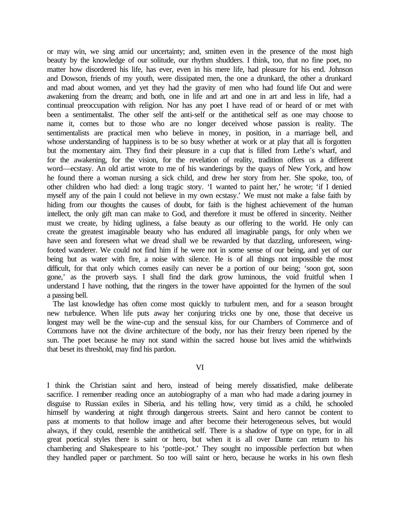or may win, we sing amid our uncertainty; and, smitten even in the presence of the most high beauty by the knowledge of our solitude, our rhythm shudders. I think, too, that no fine poet, no matter how disordered his life, has ever, even in his mere life, had pleasure for his end. Johnson and Dowson, friends of my youth, were dissipated men, the one a drunkard, the other a drunkard and mad about women, and yet they had the gravity of men who had found life Out and were awakening from the dream; and both, one in life and art and one in art and less in life, had a continual preoccupation with religion. Nor has any poet I have read of or heard of or met with been a sentimentalist. The other self the anti-self or the antithetical self as one may choose to name it, comes but to those who are no longer deceived whose passion is reality. The sentimentalists are practical men who believe in money, in position, in a marriage bell, and whose understanding of happiness is to be so busy whether at work or at play that all is forgotten but the momentary aim. They find their pleasure in a cup that is filled from Lethe's wharf, and for the awakening, for the vision, for the revelation of reality, tradition offers us a different word—ecstasy. An old artist wrote to me of his wanderings by the quays of New York, and how he found there a woman nursing a sick child, and drew her story from her. She spoke, too, of other children who had died: a long tragic story. 'I wanted to paint her,' he wrote; 'if I denied myself any of the pain I could not believe in my own ecstasy.' We must not make a false faith by hiding from our thoughts the causes of doubt, for faith is the highest achievement of the human intellect, the only gift man can make to God, and therefore it must be offered in sincerity. Neither must we create, by hiding ugliness, a false beauty as our offering to the world. He only can create the greatest imaginable beauty who has endured all imaginable pangs, for only when we have seen and foreseen what we dread shall we be rewarded by that dazzling, unforeseen, wingfooted wanderer. We could not find him if he were not in some sense of our being, and yet of our being but as water with fire, a noise with silence. He is of all things not impossible the most difficult, for that only which comes easily can never be a portion of our being; 'soon got, soon gone,' as the proverb says. I shall find the dark grow luminous, the void fruitful when I understand I have nothing, that the ringers in the tower have appointed for the hymen of the soul a passing bell.

The last knowledge has often come most quickly to turbulent men, and for a season brought new turbulence. When life puts away her conjuring tricks one by one, those that deceive us longest may well be the wine-cup and the sensual kiss, for our Chambers of Commerce and of Commons have not the divine architecture of the body, nor has their frenzy been ripened by the sun. The poet because he may not stand within the sacred house but lives amid the whirlwinds that beset its threshold, may find his pardon.

# VI

I think the Christian saint and hero, instead of being merely dissatisfied, make deliberate sacrifice. I remember reading once an autobiography of a man who had made a daring journey in disguise to Russian exiles in Siberia, and his telling how, very timid as a child, he schooled himself by wandering at night through dangerous streets. Saint and hero cannot be content to pass at moments to that hollow image and after become their heterogeneous selves, but would always, if they could, resemble the antithetical self. There is a shadow of type on type, for in all great poetical styles there is saint or hero, but when it is all over Dante can return to his chambering and Shakespeare to his 'pottle-pot.' They sought no impossible perfection but when they handled paper or parchment. So too will saint or hero, because he works in his own flesh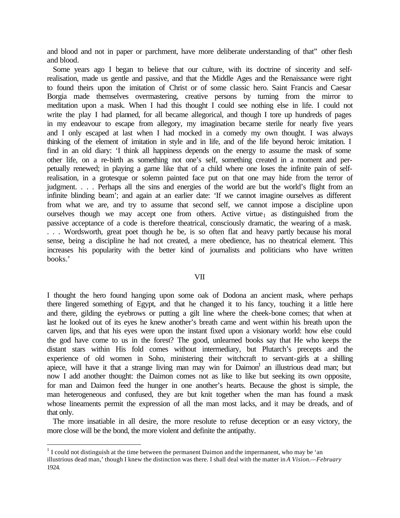and blood and not in paper or parchment, have more deliberate understanding of that" other flesh and blood.

Some years ago I began to believe that our culture, with its doctrine of sincerity and selfrealisation, made us gentle and passive, and that the Middle Ages and the Renaissance were right to found theirs upon the imitation of Christ or of some classic hero. Saint Francis and Caesar Borgia made themselves overmastering, creative persons by turning from the mirror to meditation upon a mask. When I had this thought I could see nothing else in life. I could not write the play I had planned, for all became allegorical, and though I tore up hundreds of pages in my endeavour to escape from allegory, my imagination became sterile for nearly five years and I only escaped at last when I had mocked in a comedy my own thought. I was always thinking of the element of imitation in style and in life, and of the life beyond heroic imitation. I find in an old diary: 'I think all happiness depends on the energy to assume the mask of some other life, on a re-birth as something not one's self, something created in a moment and perpetually renewed; in playing a game like that of a child where one loses the infinite pain of selfrealisation, in a grotesque or solemn painted face put on that one may hide from the terror of judgment. . . . Perhaps all the sins and energies of the world are but the world's flight from an infinite blinding beam'; and again at an earlier date: 'If we cannot imagine ourselves as different from what we are, and try to assume that second self, we cannot impose a discipline upon ourselves though we may accept one from others. Active virtue<sub>1</sub> as distinguished from the passive acceptance of a code is therefore theatrical, consciously dramatic, the wearing of a mask. . . . Wordsworth, great poet though he be, is so often flat and heavy partly because his moral sense, being a discipline he had not created, a mere obedience, has no theatrical element. This increases his popularity with the better kind of journalists and politicians who have written books.'

#### VII

I thought the hero found hanging upon some oak of Dodona an ancient mask, where perhaps there lingered something of Egypt, and that he changed it to his fancy, touching it a little here and there, gilding the eyebrows or putting a gilt line where the cheek-bone comes; that when at last he looked out of its eyes he knew another's breath came and went within his breath upon the carven lips, and that his eyes were upon the instant fixed upon a visionary world: how else could the god have come to us in the forest? The good, unlearned books say that He who keeps the distant stars within His fold comes without intermediary, but Plutarch's precepts and the experience of old women in Soho, ministering their witchcraft to servant-girls at a shilling apiece, will have it that a strange living man may win for Daimon<sup>1</sup> an illustrious dead man; but now I add another thought: the Daimon comes not as like to like but seeking its own opposite, for man and Daimon feed the hunger in one another's hearts. Because the ghost is simple, the man heterogeneous and confused, they are but knit together when the man has found a mask whose lineaments permit the expression of all the man most lacks, and it may be dreads, and of that only.

The more insatiable in all desire, the more resolute to refuse deception or an easy victory, the more close will be the bond, the more violent and definite the antipathy.

 $\overline{a}$ 

 $<sup>1</sup>$  I could not distinguish at the time between the permanent Daimon and the impermanent, who may be 'an</sup> illustrious dead man,' though I knew the distinction was there. I shall deal with the matter in *A Vision.—February*  1924.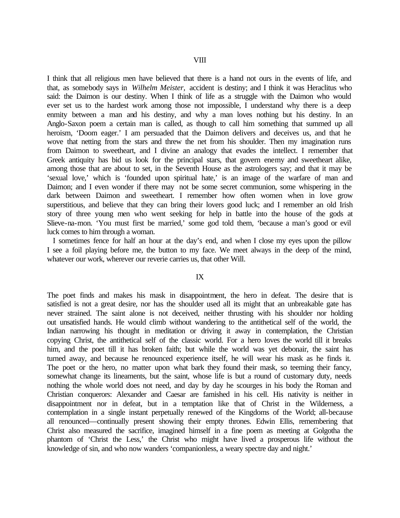I think that all religious men have believed that there is a hand not ours in the events of life, and that, as somebody says in *Wilhelm Meister,* accident is destiny; and I think it was Heraclitus who said: the Daimon is our destiny. When I think of life as a struggle with the Daimon who would ever set us to the hardest work among those not impossible, I understand why there is a deep enmity between a man and his destiny, and why a man loves nothing but his destiny. In an Anglo-Saxon poem a certain man is called, as though to call him something that summed up all heroism, 'Doom eager.' I am persuaded that the Daimon delivers and deceives us, and that he wove that netting from the stars and threw the net from his shoulder. Then my imagination runs from Daimon to sweetheart, and I divine an analogy that evades the intellect. I remember that Greek antiquity has bid us look for the principal stars, that govern enemy and sweetheart alike, among those that are about to set, in the Seventh House as the astrologers say; and that it may be 'sexual love,' which is 'founded upon spiritual hate,' is an image of the warfare of man and Daimon; and I even wonder if there may not be some secret communion, some whispering in the dark between Daimon and sweetheart. I remember how often women when in love grow superstitious, and believe that they can bring their lovers good luck; and I remember an old Irish story of three young men who went seeking for help in battle into the house of the gods at Slieve-na-mon. 'You must first be married,' some god told them, 'because a man's good or evil luck comes to him through a woman.

I sometimes fence for half an hour at the day's end, and when I close my eyes upon the pillow I see a foil playing before me, the button to my face. We meet always in the deep of the mind, whatever our work, wherever our reverie carries us, that other Will.

#### IX

The poet finds and makes his mask in disappointment, the hero in defeat. The desire that is satisfied is not a great desire, nor has the shoulder used all its might that an unbreakable gate has never strained. The saint alone is not deceived, neither thrusting with his shoulder nor holding out unsatisfied hands. He would climb without wandering to the antithetical self of the world, the Indian narrowing his thought in meditation or driving it away in contemplation, the Christian copying Christ, the antithetical self of the classic world. For a hero loves the world till it breaks him, and the poet till it has broken faith; but while the world was yet debonair, the saint has turned away, and because he renounced experience itself, he will wear his mask as he finds it. The poet or the hero, no matter upon what bark they found their mask, so teeming their fancy, somewhat change its lineaments, but the saint, whose life is but a round of customary duty, needs nothing the whole world does not need, and day by day he scourges in his body the Roman and Christian conquerors: Alexander and Caesar are famished in his cell. His nativity is neither in disappointment nor in defeat, but in a temptation like that of Christ in the Wilderness, a contemplation in a single instant perpetually renewed of the Kingdoms of the World; all-because all renounced—continually present showing their empty thrones. Edwin Ellis, remembering that Christ also measured the sacrifice, imagined himself in a fine poem as meeting at Golgotha the phantom of 'Christ the Less,' the Christ who might have lived a prosperous life without the knowledge of sin, and who now wanders 'companionless, a weary spectre day and night.'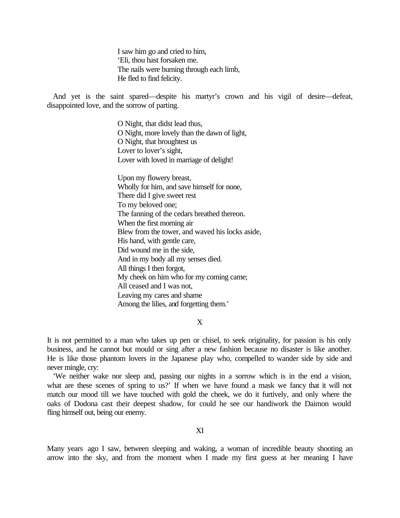I saw him go and cried to him, 'Eli, thou hast forsaken me. The nails were burning through each limb, He fled to find felicity.

And yet is the saint spared—despite his martyr's crown and his vigil of desire—defeat, disappointed love, and the sorrow of parting.

> O Night, that didst lead thus, O Night, more lovely than the dawn of light, O Night, that broughtest us Lover to lover's sight, Lover with loved in marriage of delight!

Upon my flowery breast, Wholly for him, and save himself for none, There did I give sweet rest To my beloved one; The fanning of the cedars breathed thereon. When the first morning air Blew from the tower, and waved his locks aside, His hand, with gentle care, Did wound me in the side, And in my body all my senses died. All things I then forgot, My cheek on him who for my coming came; All ceased and I was not, Leaving my cares and shame Among the lilies, and forgetting them.'

X

It is not permitted to a man who takes up pen or chisel, to seek originality, for passion is his only business, and he cannot but mould or sing after a new fashion because no disaster is like another. He is like those phantom lovers in the Japanese play who, compelled to wander side by side and never mingle, cry:

'We neither wake nor sleep and, passing our nights in a sorrow which is in the end a vision, what are these scenes of spring to us?' If when we have found a mask we fancy that it will not match our mood till we have touched with gold the cheek, we do it furtively, and only where the oaks of Dodona cast their deepest shadow, for could he see our handiwork the Daimon would fling himself out, being our enemy.

XI

Many years ago I saw, between sleeping and waking, a woman of incredible beauty shooting an arrow into the sky, and from the moment when I made my first guess at her meaning I have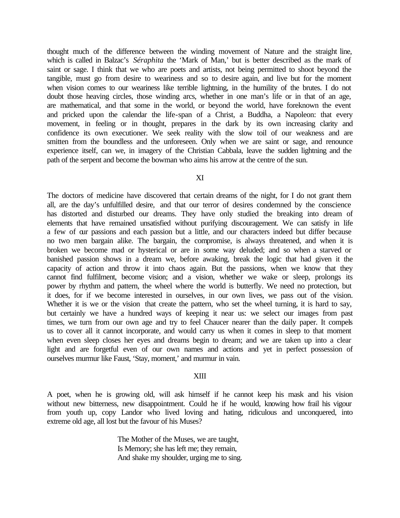thought much of the difference between the winding movement of Nature and the straight line, which is called in Balzac's *Séraphita* the 'Mark of Man,' but is better described as the mark of saint or sage. I think that we who are poets and artists, not being permitted to shoot beyond the tangible, must go from desire to weariness and so to desire again, and live but for the moment when vision comes to our weariness like terrible lightning, in the humility of the brutes. I do not doubt those heaving circles, those winding arcs, whether in one man's life or in that of an age, are mathematical, and that some in the world, or beyond the world, have foreknown the event and pricked upon the calendar the life-span of a Christ, a Buddha, a Napoleon: that every movement, in feeling or in thought, prepares in the dark by its own increasing clarity and confidence its own executioner. We seek reality with the slow toil of our weakness and are smitten from the boundless and the unforeseen. Only when we are saint or sage, and renounce experience itself, can we, in imagery of the Christian Cabbala, leave the sudden lightning and the path of the serpent and become the bowman who aims his arrow at the centre of the sun.

# XI

The doctors of medicine have discovered that certain dreams of the night, for I do not grant them all, are the day's unfulfilled desire, and that our terror of desires condemned by the conscience has distorted and disturbed our dreams. They have only studied the breaking into dream of elements that have remained unsatisfied without purifying discouragement. We can satisfy in life a few of our passions and each passion but a little, and our characters indeed but differ because no two men bargain alike. The bargain, the compromise, is always threatened, and when it is broken we become mad or hysterical or are in some way deluded; and so when a starved or banished passion shows in a dream we, before awaking, break the logic that had given it the capacity of action and throw it into chaos again. But the passions, when we know that they cannot find fulfilment, become vision; and a vision, whether we wake or sleep, prolongs its power by rhythm and pattern, the wheel where the world is butterfly. We need no protection, but it does, for if we become interested in ourselves, in our own lives, we pass out of the vision. Whether it is we or the vision that create the pattern, who set the wheel turning, it is hard to say, but certainly we have a hundred ways of keeping it near us: we select our images from past times, we turn from our own age and try to feel Chaucer nearer than the daily paper. It compels us to cover all it cannot incorporate, and would carry us when it comes in sleep to that moment when even sleep closes her eyes and dreams begin to dream; and we are taken up into a clear light and are forgetful even of our own names and actions and yet in perfect possession of ourselves murmur like Faust, 'Stay, moment,' and murmur in vain.

# XIII

A poet, when he is growing old, will ask himself if he cannot keep his mask and his vision without new bitterness, new disappointment. Could he if he would, knowing how frail his vigour from youth up, copy Landor who lived loving and hating, ridiculous and unconquered, into extreme old age, all lost but the favour of his Muses?

> The Mother of the Muses, we are taught, Is Memory; she has left me; they remain, And shake my shoulder, urging me to sing.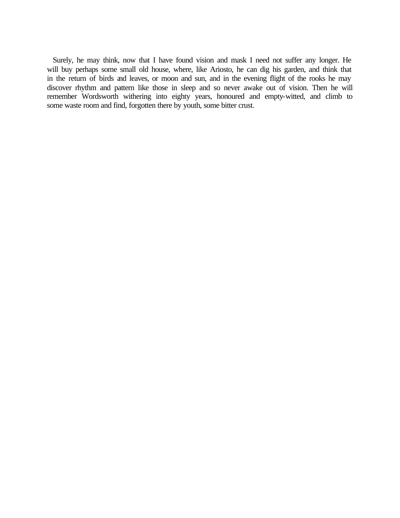Surely, he may think, now that I have found vision and mask I need not suffer any longer. He will buy perhaps some small old house, where, like Ariosto, he can dig his garden, and think that in the return of birds and leaves, or moon and sun, and in the evening flight of the rooks he may discover rhythm and pattern like those in sleep and so never awake out of vision. Then he will remember Wordsworth withering into eighty years, honoured and empty-witted, and climb to some waste room and find, forgotten there by youth, some bitter crust.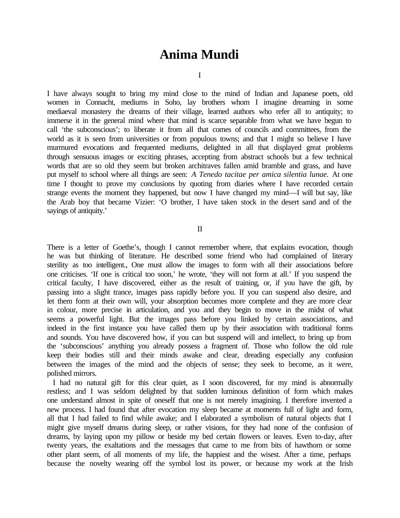# **Anima Mundi**

I

I have always sought to bring my mind close to the mind of Indian and Japanese poets, old women in Connacht, mediums in Soho, lay brothers whom I imagine dreaming in some mediaeval monastery the dreams of their village, learned authors who refer all to antiquity; to immerse it in the general mind where that mind is scarce separable from what we have begun to call 'the subconscious'; to liberate it from all that comes of councils and committees, from the world as it is seen from universities or from populous towns; and that I might so believe I have murmured evocations and frequented mediums, delighted in all that displayed great problems through sensuous images or exciting phrases, accepting from abstract schools but a few technical words that are so old they seem but broken architraves fallen amid bramble and grass, and have put myself to school where all things are seen: *A Tenedo tacitae per amica silentia lunae.* At one time I thought to prove my conclusions by quoting from diaries where I have recorded certain strange events the moment they happened, but now I have changed my mind—I will but say, like the Arab boy that became Vizier: 'O brother, I have taken stock in the desert sand and of the sayings of antiquity.'

II

There is a letter of Goethe's, though I cannot remember where, that explains evocation, though he was but thinking of literature. He described some friend who had complained of literary sterility as too intelligent., One must allow the images to form with all their associations before one criticises. 'If one is critical too soon,' he wrote, 'they will not form at all.' If you suspend the critical faculty, I have discovered, either as the result of training, or, if you have the gift, by passing into a slight trance, images pass rapidly before you. If you can suspend also desire, and let them form at their own will, your absorption becomes more complete and they are more clear in colour, more precise in articulation, and you and they begin to move in the midst of what seems a powerful light. But the images pass before you linked by certain associations, and indeed in the first instance you have called them up by their association with traditional forms and sounds. You have discovered how, if you can but suspend will and intellect, to bring up from the 'subconscious' anything you already possess a fragment of. Those who follow the old rule keep their bodies still and their minds awake and clear, dreading especially any confusion between the images of the mind and the objects of sense; they seek to become, as it were, polished mirrors.

I had no natural gift for this clear quiet, as I soon discovered, for my mind is abnormally restless; and I was seldom delighted by that sudden luminous definition of form which makes one understand almost in spite of oneself that one is not merely imagining. I therefore invented a new process. I had found that after evocation my sleep became at moments full of light and form, all that I had failed to find while awake; and I elaborated a symbolism of natural objects that I might give myself dreams during sleep, or rather visions, for they had none of the confusion of dreams, by laying upon my pillow or beside my bed certain flowers or leaves. Even to-day, after twenty years, the exaltations and the messages that came to me from bits of hawthorn or some other plant seem, of all moments of my life, the happiest and the wisest. After a time, perhaps because the novelty wearing off the symbol lost its power, or because my work at the Irish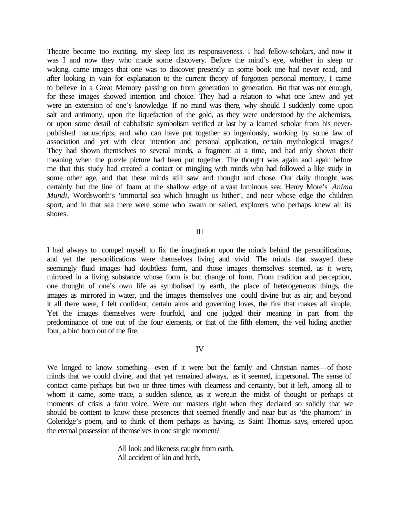Theatre became too exciting, my sleep lost its responsiveness. I had fellow-scholars, and now it was I and now they who made some discovery. Before the mind's eye, whether in sleep or waking, came images that one was to discover presently in some book one had never read, and after looking in vain for explanation to the current theory of forgotten personal memory, I came to believe in a Great Memory passing on from generation to generation. But that was not enough, for these images showed intention and choice. They had a relation to what one knew and yet were an extension of one's knowledge. If no mind was there, why should I suddenly come upon salt and antimony, upon the liquefaction of the gold, as they were understood by the alchemists, or upon some detail of cabbalistic symbolism verified at last by a learned scholar from his neverpublished manuscripts, and who can have put together so ingeniously, working by some law of association and yet with clear intention and personal application, certain mythological images? They had shown themselves to several minds, a fragment at a time, and had only shown their meaning when the puzzle picture had been put together. The thought was again and again before me that this study had created a contact or mingling with minds who had followed a like study in some other age, and that these minds still saw and thought and chose. Our daily thought was certainly but the line of foam at the shallow edge of a vast luminous sea; Henry More's *Anima Mundi*, Wordsworth's 'immortal sea which brought us hither', and near whose edge the children sport, and in that sea there were some who swam or sailed, explorers who perhaps knew all its shores.

#### III

I had always to compel myself to fix the imagination upon the minds behind the personifications, and yet the personifications were themselves living and vivid. The minds that swayed these seemingly fluid images had doubtless form, and those images themselves seemed, as it were, mirrored in a living substance whose form is but change of form. From tradition and perception, one thought of one's own life as symbolised by earth, the place of heterogeneous things, the images as mirrored in water, and the images themselves one could divine but as air; and beyond it all there were, I felt confident, certain aims and governing loves, the fire that makes all simple. Yet the images themselves were fourfold, and one judged their meaning in part from the predominance of one out of the four elements, or that of the fifth element, the veil hiding another four, a bird born out of the fire.

#### IV

We longed to know something—even if it were but the family and Christian names—of those minds that we could divine, and that yet remained always, as it seemed, impersonal. The sense of contact came perhaps but two or three times with clearness and certainty, but it left, among all to whom it came, some trace, a sudden silence, as it were,in the midst of thought or perhaps at moments of crisis a faint voice. Were our masters right when they declared so solidly that we should be content to know these presences that seemed friendly and near but as 'the phantom' in Coleridge's poem, and to think of them perhaps as having, as Saint Thomas says, entered upon the eternal possession of themselves in one single moment?

> All look and likeness caught from earth, All accident of kin and birth,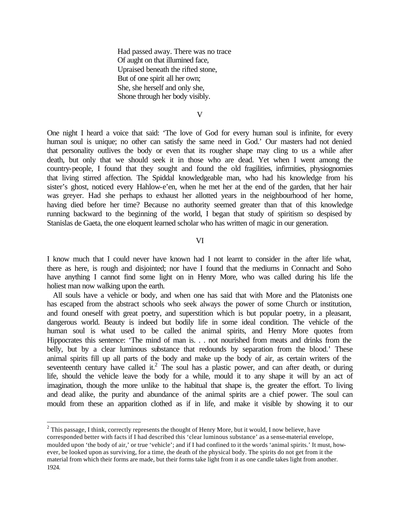Had passed away. There was no trace Of aught on that illumined face, Upraised beneath the rifted stone, But of one spirit all her own; She, she herself and only she, Shone through her body visibly.

V

One night I heard a voice that said: 'The love of God for every human soul is infinite, for every human soul is unique; no other can satisfy the same need in God.' Our masters had not denied that personality outlives the body or even that its rougher shape may cling to us a while after death, but only that we should seek it in those who are dead. Yet when I went among the country-people, I found that they sought and found the old fragilities, infirmities, physiognomies that living stirred affection. The Spiddal knowledgeable man, who had his knowledge from his sister's ghost, noticed every Hahlow-e'en, when he met her at the end of the garden, that her hair was greyer. Had she perhaps to exhaust her allotted years in the neighbourhood of her home, having died before her time? Because no authority seemed greater than that of this knowledge running backward to the beginning of the world, I began that study of spiritism so despised by Stanislas de Gaeta, the one eloquent learned scholar who has written of magic in our generation.

#### VI

I know much that I could never have known had I not learnt to consider in the after life what, there as here, is rough and disjointed; nor have I found that the mediums in Connacht and Soho have anything I cannot find some light on in Henry More, who was called during his life the holiest man now walking upon the earth.

All souls have a vehicle or body, and when one has said that with More and the Platonists one has escaped from the abstract schools who seek always the power of some Church or institution, and found oneself with great poetry, and superstition which is but popular poetry, in a pleasant, dangerous world. Beauty is indeed but bodily life in some ideal condition. The vehicle of the human soul is what used to be called the animal spirits, and Henry More quotes from Hippocrates this sentence: 'The mind of man is. . . not nourished from meats and drinks from the belly, but by a clear luminous substance that redounds by separation from the blood.' These animal spirits fill up all parts of the body and make up the body of air, as certain writers of the seventeenth century have called it.<sup>2</sup> The soul has a plastic power, and can after death, or during life, should the vehicle leave the body for a while, mould it to any shape it will by an act of imagination, though the more unlike to the habitual that shape is, the greater the effort. To living and dead alike, the purity and abundance of the animal spirits are a chief power. The soul can mould from these an apparition clothed as if in life, and make it visible by showing it to our

 $2$  This passage, I think, correctly represents the thought of Henry More, but it would, I now believe, have corresponded better with facts if I had described this 'clear luminous substance' as a sense-material envelope, moulded upon 'the body of air,' or true 'vehicle'; and if I had confined to it the words 'animal spirits.' It must, however, be looked upon as surviving, for a time, the death of the physical body. The spirits do not get from it the material from which their forms are made, but their forms take light from it as one candle takes light from another. 1924.

 $\overline{a}$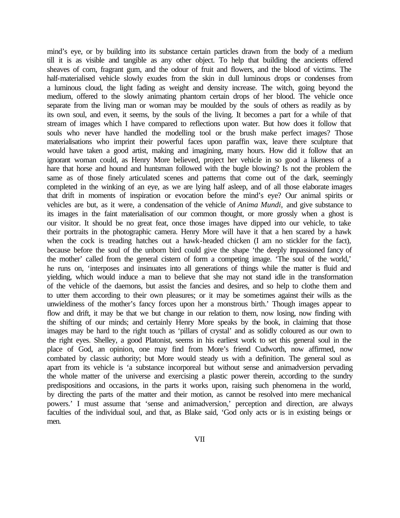mind's eye, or by building into its substance certain particles drawn from the body of a medium till it is as visible and tangible as any other object. To help that building the ancients offered sheaves of corn, fragrant gum, and the odour of fruit and flowers, and the blood of victims. The half-materialised vehicle slowly exudes from the skin in dull luminous drops or condenses from a luminous cloud, the light fading as weight and density increase. The witch, going beyond the medium, offered to the slowly animating phantom certain drops of her blood. The vehicle once separate from the living man or woman may be moulded by the souls of others as readily as by its own soul, and even, it seems, by the souls of the living. It becomes a part for a while of that stream of images which I have compared to reflections upon water. But how does it follow that souls who never have handled the modelling tool or the brush make perfect images? Those materialisations who imprint their powerful faces upon paraffin wax, leave there sculpture that would have taken a good artist, making and imagining, many hours. How did it follow that an ignorant woman could, as Henry More believed, project her vehicle in so good a likeness of a hare that horse and hound and huntsman followed with the bugle blowing? Is not the problem the same as of those finely articulated scenes and patterns that come out of the dark, seemingly completed in the winking of an eye, as we are lying half asleep, and of all those elaborate images that drift in moments of inspiration or evocation before the mind's eye? Our animal spirits or vehicles are but, as it were, a condensation of the vehicle of *Anima Mundi,* and give substance to its images in the faint materialisation of our common thought, or more grossly when a ghost is our visitor. It should be no great feat, once those images have dipped into our vehicle, to take their portraits in the photographic camera. Henry More will have it that a hen scared by a hawk when the cock is treading hatches out a hawk-headed chicken (I am no stickler for the fact), because before the soul of the unborn bird could give the shape 'the deeply impassioned fancy of the mother' called from the general cistern of form a competing image. 'The soul of the world,' he runs on, 'interposes and insinuates into all generations of things while the matter is fluid and yielding, which would induce a man to believe that she may not stand idle in the transformation of the vehicle of the daemons, but assist the fancies and desires, and so help to clothe them and to utter them according to their own pleasures; or it may be sometimes against their wills as the unwieldiness of the mother's fancy forces upon her a monstrous birth.' Though images appear to flow and drift, it may be that we but change in our relation to them, now losing, now finding with the shifting of our minds; and certainly Henry More speaks by the book, in claiming that those images may be hard to the right touch as 'pillars of crystal' and as solidly coloured as our own to the right eyes. Shelley, a good Platonist, seems in his earliest work to set this general soul in the place of God, an opinion, one may find from More's friend Cudworth, now affirmed, now combated by classic authority; but More would steady us with a definition. The general soul as apart from its vehicle is 'a substance incorporeal but without sense and animadversion pervading the whole matter of the universe and exercising a plastic power therein, according to the sundry predispositions and occasions, in the parts it works upon, raising such phenomena in the world, by directing the parts of the matter and their motion, as cannot be resolved into mere mechanical powers.' I must assume that 'sense and animadversion,' perception and direction, are always faculties of the individual soul, and that, as Blake said, 'God only acts or is in existing beings or men.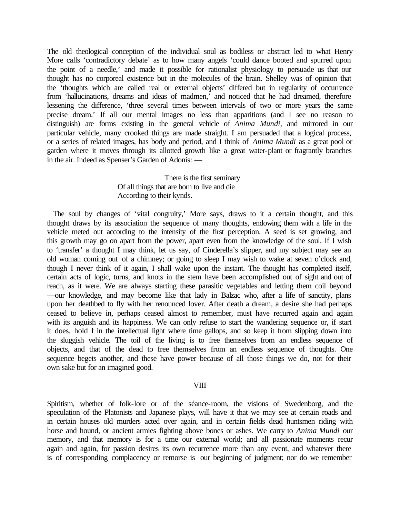The old theological conception of the individual soul as bodiless or abstract led to what Henry More calls 'contradictory debate' as to how many angels 'could dance booted and spurred upon the point of a needle,' and made it possible for rationalist physiology to persuade us that our thought has no corporeal existence but in the molecules of the brain. Shelley was of opinion that the 'thoughts which are called real or external objects' differed but in regularity of occurrence from 'hallucinations, dreams and ideas of madmen,<sup>3</sup> and noticed that he had dreamed, therefore lessening the difference, 'three several times between intervals of two or more years the same precise dream.' If all our mental images no less than apparitions (and I see no reason to distinguish) are forms existing in the general vehicle of *Anima Mundi,* and mirrored in our particular vehicle, many crooked things are made straight. I am persuaded that a logical process, or a series of related images, has body and period, and I think of *Anima Mundi* as a great pool or garden where it moves through its allotted growth like a great water-plant or fragrantly branches in the air. Indeed as Spenser's Garden of Adonis: —

# There is the first seminary Of all things that are born to live and die According to their kynds.

The soul by changes of 'vital congruity,' More says, draws to it a certain thought, and this thought draws by its association the sequence of many thoughts, endowing them with a life in the vehicle meted out according to the intensity of the first perception. A seed is set growing, and this growth may go on apart from the power, apart even from the knowledge of the soul. If I wish to 'transfer' a thought I may think, let us say, of Cinderella's slipper, and my subject may see an old woman coming out of a chimney; or going to sleep I may wish to wake at seven o'clock and, though I never think of it again, I shall wake upon the instant. The thought has completed itself, certain acts of logic, turns, and knots in the stem have been accomplished out of sight and out of reach, as it were. We are always starting these parasitic vegetables and letting them coil beyond —our knowledge, and may become like that lady in Balzac who, after a life of sanctity, plans upon her deathbed to fly with her renounced lover. After death a dream, a desire she had perhaps ceased to believe in, perhaps ceased almost to remember, must have recurred again and again with its anguish and its happiness. We can only refuse to start the wandering sequence or, if start it does, hold *t* in the intellectual light where time gallops, and so keep it from slipping down into the sluggish vehicle. The toil of the living is to free themselves from an endless sequence of objects, and that of the dead to free themselves from an endless sequence of thoughts. One sequence begets another, and these have power because of all those things we do, not for their own sake but for an imagined good.

# VIII

Spiritism, whether of folk-lore or of the séance-room, the visions of Swedenborg, and the speculation of the Platonists and Japanese plays, will have it that we may see at certain roads and in certain houses old murders acted over again, and in certain fields dead huntsmen riding with horse and hound, or ancient armies fighting above bones or ashes. We carry to *Anima Mundi* our memory, and that memory is for a time our external world; and all passionate moments recur again and again, for passion desires its own recurrence more than any event, and whatever there is of corresponding complacency or remorse is our beginning of judgment; nor do we remember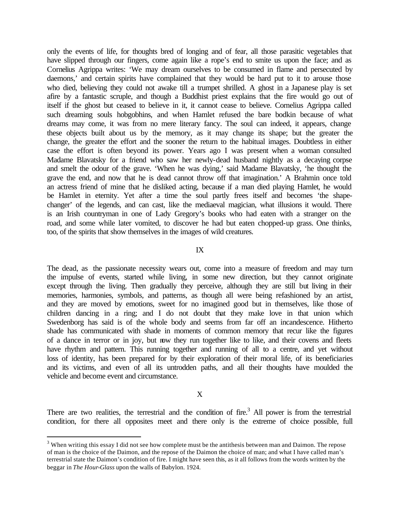only the events of life, for thoughts bred of longing and of fear, all those parasitic vegetables that have slipped through our fingers, come again like a rope's end to smite us upon the face; and as Cornelius Agrippa writes: 'We may dream ourselves to be consumed in flame and persecuted by daemons,' and certain spirits have complained that they would be hard put to it to arouse those who died, believing they could not awake till a trumpet shrilled. A ghost in a Japanese play is set afire by a fantastic scruple, and though a Buddhist priest explains that the fire would go out of itself if the ghost but ceased to believe in it, it cannot cease to believe. Cornelius Agrippa called such dreaming souls hobgobhins, and when Hamlet refused the bare bodkin because of what dreams may come, it was from no mere literary fancy. The soul can indeed, it appears, change these objects built about us by the memory, as it may change its shape; but the greater the change, the greater the effort and the sooner the return to the habitual images. Doubtless in either case the effort is often beyond its power. Years ago I was present when a woman consulted Madame Blavatsky for a friend who saw her newly-dead husband nightly as a decaying corpse and smelt the odour of the grave. 'When he was dying,' said Madame Blavatsky, 'he thought the grave the end, and now that he is dead cannot throw off that imagination.' A Brahmin once told an actress friend of mine that he disliked acting, because if a man died playing Hamlet, he would be Hamlet in eternity. Yet after a time the soul partly frees itself and becomes 'the shapechanger' of the legends, and can cast, like the mediaeval magician, what illusions it would. There is an Irish countryman in one of Lady Gregory's books who had eaten with a stranger on the road, and some while later vomited, to discover he had but eaten chopped-up grass. One thinks, too, of the spirits that show themselves in the images of wild creatures.

#### IX

The dead, as the passionate necessity wears out, come into a measure of freedom and may turn the impulse of events, started while living, in some new direction, but they cannot originate except through the living. Then gradually they perceive, although they are still but living in their memories, harmonies, symbols, and patterns, as though all were being refashioned by an artist, and they are moved by emotions, sweet for no imagined good but in themselves, like those of children dancing in a ring; and I do not doubt that they make love in that union which Swedenborg has said is of the whole body and seems from far off an incandescence. Hitherto shade has communicated with shade in moments of common memory that recur like the figures of a dance in terror or in joy, but now they run together like to like, and their covens and fleets have rhythm and pattern. This running together and running of all to a centre, and yet without loss of identity, has been prepared for by their exploration of their moral life, of its beneficiaries and its victims, and even of all its untrodden paths, and all their thoughts have moulded the vehicle and become event and circumstance.

#### X

There are two realities, the terrestrial and the condition of fire.<sup>3</sup> All power is from the terrestrial condition, for there all opposites meet and there only is the extreme of choice possible, full

 $\overline{a}$ 

 $3$  When writing this essay I did not see how complete must be the antithesis between man and Daimon. The repose of man is the choice of the Daimon, and the repose of the Daimon the choice of man; and what I have called man's terrestrial state the Daimon's condition of fire. I might have seen this, as it all follows from the words written by the beggar in *The Hour-Glass* upon the walls of Babylon. 1924.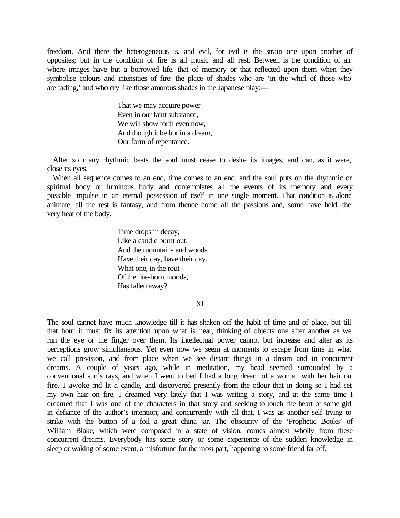freedom. And there the heterogeneous is, and evil, for evil is the strain one upon another of opposites; but in the condition of fire is all music and all rest. Between is the condition of air where images have but a borrowed life, that of memory or that reflected upon them when they symbolise colours and intensities of fire: the place of shades who are 'in the whirl of those who are fading,' and who cry like those amorous shades in the Japanese play:—

> That we may acquire power Even in our faint substance, We will show forth even now, And though it be but in a dream, Our form of repentance.

After so many rhythmic beats the soul must cease to desire its images, and can, as it were, close its eyes.

When all sequence comes to an end, time comes to an end, and the soul puts on the rhythmic or spiritual body or luminous body and contemplates all the events of its memory and every possible impulse in an eternal possession of itself in one single moment. That condition is alone animate, all the rest is fantasy, and from thence come all the passions and, some have held, the very heat of the body.

> Time drops in decay, Like a candle burnt out, And the mountains and woods Have their day, have their day. What one, in the rout Of the fire-born moods, Has fallen away?

> > XI

The soul cannot have much knowledge till it has shaken off the habit of time and of place, but till that hour it must fix its attention upon what is near, thinking of objects one after another as we run the eye or the finger over them. Its intellectual power cannot but increase and alter as its perceptions grow simultaneous. Yet even now we seem at moments to escape from time in what we call prevision, and from place when we see distant things in a dream and in concurrent dreams. A couple of years ago, while in meditation, my head seemed surrounded by a conventional sun's rays, and when I went to bed I had a long dream of a woman with her hair on fire. I awoke and lit a candle, and discovered presently from the odour that in doing so I had set my own hair on fire. I dreamed very lately that I was writing a story, and at the same time I dreamed that I was one of the characters in that story and seeking to touch the heart of some girl in defiance of the author's intention; and concurrently with all that, I was as another self trying to strike with the button of a foil a great china jar. The obscurity of the 'Prophetic Books' of William Blake, which were composed in a state of vision, comes almost wholly from these concurrent dreams. Everybody has some story or some experience of the sudden knowledge in sleep or waking of some event, a misfortune for the most part, happening to some friend far off.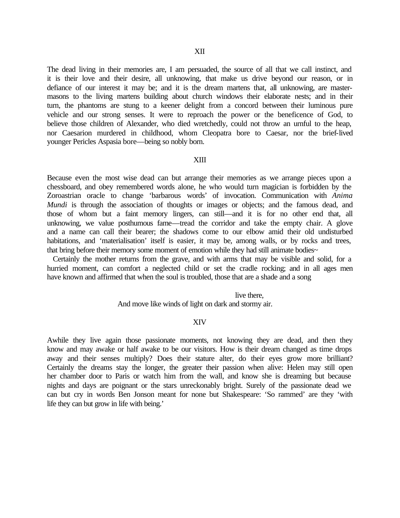The dead living in their memories are, I am persuaded, the source of all that we call instinct, and it is their love and their desire, all unknowing, that make us drive beyond our reason, or in defiance of our interest it may be; and it is the dream martens that, all unknowing, are mastermasons to the living martens building about church windows their elaborate nests; and in their turn, the phantoms are stung to a keener delight from a concord between their luminous pure vehicle and our strong senses. It were to reproach the power or the beneficence of God, to believe those children of Alexander, who died wretchedly, could not throw an urnful to the heap, nor Caesarion murdered in childhood, whom Cleopatra bore to Caesar, nor the brief-lived younger Pericles Aspasia bore—being so nobly born.

# XIII

Because even the most wise dead can but arrange their memories as we arrange pieces upon a chessboard, and obey remembered words alone, he who would turn magician is forbidden by the Zoroastrian oracle to change 'barbarous words' of invocation. Communication with *Anima Mundi* is through the association of thoughts or images or objects; and the famous dead, and those of whom but a faint memory lingers, can still—and it is for no other end that, all unknowing, we value posthumous fame—tread the corridor and take the empty chair. A glove and a name can call their bearer; the shadows come to our elbow amid their old undisturbed habitations, and 'materialisation' itself is easier, it may be, among walls, or by rocks and trees, that bring before their memory some moment of emotion while they had still animate bodies~

Certainly the mother returns from the grave, and with arms that may be visible and solid, for a hurried moment, can comfort a neglected child or set the cradle rocking; and in all ages men have known and affirmed that when the soul is troubled, those that are a shade and a song

live there,

And move like winds of light on dark and stormy air.

#### XIV

Awhile they live again those passionate moments, not knowing they are dead, and then they know and may awake or half awake to be our visitors. How is their dream changed as time drops away and their senses multiply? Does their stature alter, do their eyes grow more brilliant? Certainly the dreams stay the longer, the greater their passion when alive: Helen may still open her chamber door to Paris or watch him from the wall, and know she is dreaming but because nights and days are poignant or the stars unreckonably bright. Surely of the passionate dead we can but cry in words Ben Jonson meant for none but Shakespeare: 'So rammed' are they 'with life they can but grow in life with being.'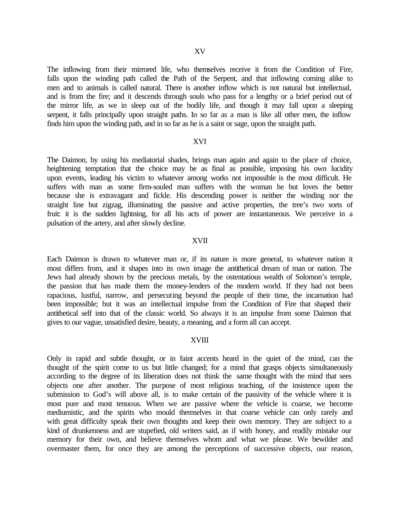The inflowing from their mirrored life, who themselves receive it from the Condition of Fire, falls upon the winding path called the Path of the Serpent, and that inflowing coming alike to men and to animals is called natural. There is another inflow which is not natural but intellectual, and is from the fire; and it descends through souls who pass for a lengthy or a brief period out of the mirror life, as we in sleep out of the bodily life, and though it may fall upon a sleeping serpent, it falls principally upon straight paths. In so far as a man is like all other men, the inflow finds him upon the winding path, and in so far as he is a saint or sage, upon the straight path.

#### XVI

The Daimon, by using his mediatorial shades, brings man again and again to the place of choice, heightening temptation that the choice may be as final as possible, imposing his own lucidity upon events, leading his victim to whatever among works not impossible is the most difficult. He suffers with man as some firm-souled man suffers with the woman he but loves the better because she is extravagant and fickle. His descending power is neither the winding nor the straight line but zigzag, illuminating the passive and active properties, the tree's two sorts of fruit: it is the sudden lightning, for all his acts of power are instantaneous. We perceive in a pulsation of the artery, and after slowly decline.

### XVII

Each Daimon is drawn to whatever man or, if its nature is more general, to whatever nation it most differs from, and it shapes into its own image the antithetical dream of man or nation. The Jews had already shown by the precious metals, by the ostentatious wealth of Solomon's temple, the passion that has made them the money-lenders of the modern world. If they had not been rapacious, lustful, narrow, and persecuting beyond the people of their time, the incarnation had been impossible; but it was an intellectual impulse from the Condition of Fire that shaped their antithetical self into that of the classic world. So always it is an impulse from some Daimon that gives to our vague, unsatisfied desire, beauty, a meaning, and a form all can accept.

#### XVIII

Only in rapid and subtle thought, or in faint accents heard in the quiet of the mind, can the thought of the spirit come to us but little changed; for a mind that grasps objects simultaneously according to the degree of its liberation does not think the same thought with the mind that sees objects one after another. The purpose of most religious teaching, of the insistence upon the submission to God's will above all, is to make certain of the passivity of the vehicle where it is most pure and most tenuous. When we are passive where the vehicle is coarse, we become mediumistic, and the spirits who mould themselves in that coarse vehicle can only rarely and with great difficulty speak their own thoughts and keep their own memory. They are subject to a kind of drunkenness and are stupefied, old writers said, as if with honey, and readily mistake our memory for their own, and believe themselves whom and what we please. We bewilder and overmaster them, for once they are among the perceptions of successive objects, our reason,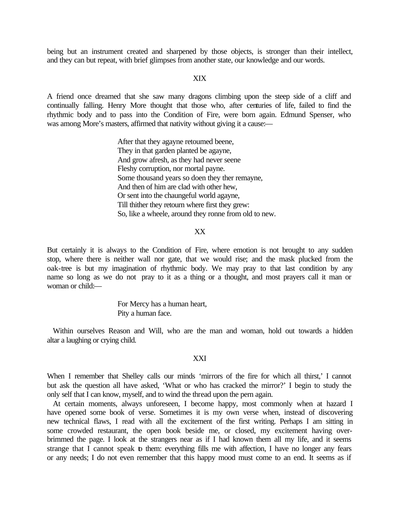being but an instrument created and sharpened by those objects, is stronger than their intellect, and they can but repeat, with brief glimpses from another state, our knowledge and our words.

#### XIX

A friend once dreamed that she saw many dragons climbing upon the steep side of a cliff and continually falling. Henry More thought that those who, after centuries of life, failed to find the rhythmic body and to pass into the Condition of Fire, were born again. Edmund Spenser, who was among More's masters, affirmed that nativity without giving it a cause:—

> After that they agayne retoumed beene, They in that garden planted be agayne, And grow afresh, as they had never seene Fleshy corruption, nor mortal payne. Some thousand years so doen they ther remayne, And then of him are clad with other hew, Or sent into the chaungeful world agayne, Till thither they retourn where first they grew: So, like a wheele, around they ronne from old to new.

# XX

But certainly it is always to the Condition of Fire, where emotion is not brought to any sudden stop, where there is neither wall nor gate, that we would rise; and the mask plucked from the oak-tree is but my imagination of rhythmic body. We may pray to that last condition by any name so long as we do not pray to it as a thing or a thought, and most prayers call it man or woman or child:—

> For Mercy has a human heart, Pity a human face.

Within ourselves Reason and Will, who are the man and woman, hold out towards a hidden altar a laughing or crying child.

#### XXI

When I remember that Shelley calls our minds 'mirrors of the fire for which all thirst,' I cannot but ask the question all have asked, 'What or who has cracked the mirror?' I begin to study the only self that I can know, myself, and to wind the thread upon the pern again.

At certain moments, always unforeseen, I become happy, most commonly when at hazard I have opened some book of verse. Sometimes it is my own verse when, instead of discovering new technical flaws, I read with all the excitement of the first writing. Perhaps I am sitting in some crowded restaurant, the open book beside me, or closed, my excitement having overbrimmed the page. I look at the strangers near as if I had known them all my life, and it seems strange that I cannot speak to them: everything fills me with affection, I have no longer any fears or any needs; I do not even remember that this happy mood must come to an end. It seems as if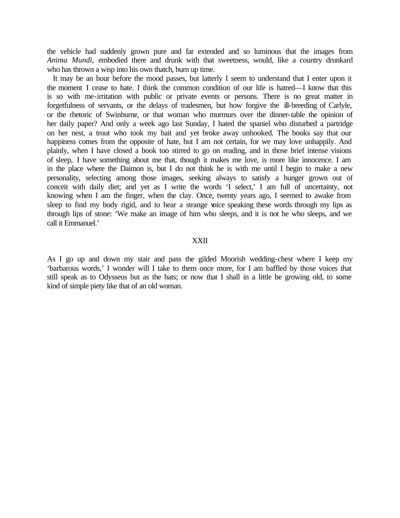the vehicle had suddenly grown pure and far extended and so luminous that the images from *Anima Mundi,* embodied there and drunk with that sweetness, would, like a country drunkard who has thrown a wisp into his own thatch, burn up time.

It may be an hour before the mood passes, but latterly I seem to understand that I enter upon it the moment I cease to hate. I think the common condition of our life is hatred—I know that this is so with me-irritation with public or private events or persons. There is no great matter in forgetfulness of servants, or the delays of tradesmen, but how forgive the ill-breeding of Carlyle, or the rhetoric of Swinburne, or that woman who murmurs over the dinner-table the opinion of her daily paper? And only a week ago last Sunday, I hated the spaniel who disturbed a partridge on her nest, a trout who took my bait and yet broke away unhooked. The books say that our happiness comes from the opposite of hate, but I am not certain, for we may love unhappily. And plainly, when I have closed a book too stirred to go on reading, and in those brief intense visions of sleep, I have something about me that, though it makes me love, is more like innocence. I am in the place where the Daimon is, but I do not think he is with me until I begin to make a new personality, selecting among those images, seeking always to satisfy a hunger grown out of conceit with daily diet; and yet as I write the words 'I select,' I am full of uncertainty, not knowing when I am the finger, when the clay. Once, twenty years ago, I seemed to awake from sleep to find my body rigid, and to hear a strange voice speaking these words through my lips as through lips of stone: 'We make an image of him who sleeps, and it is not he who sleeps, and we call it Emmanuel.'

#### XXII

As I go up and down my stair and pass the gilded Moorish wedding-chest where I keep my 'barbarous words,' I wonder will I take to them once more, for I am baffled by those voices that still speak as to Odysseus but as the bats; or now that I shall in a little be growing old, to some kind of simple piety like that of an old woman.